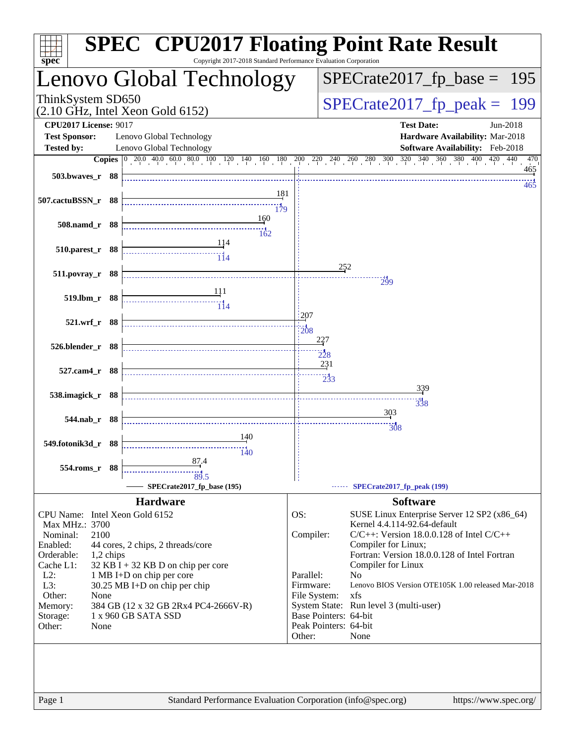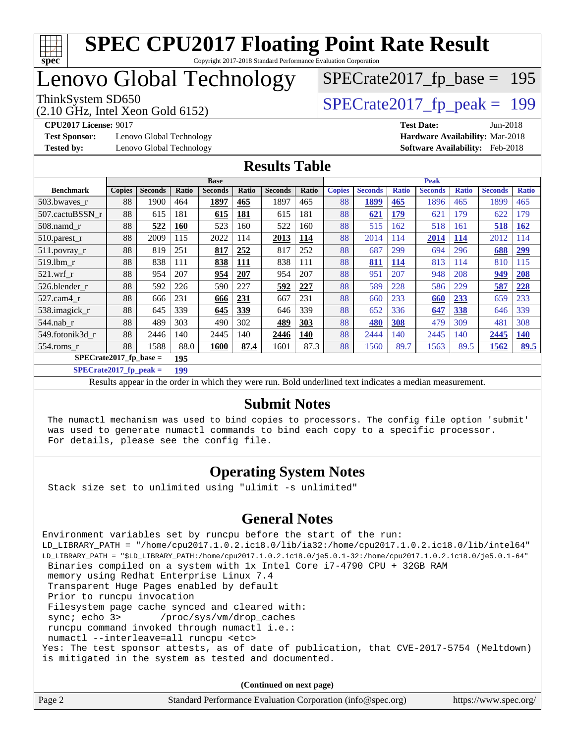

Copyright 2017-2018 Standard Performance Evaluation Corporation

### Lenovo Global Technology

(2.10 GHz, Intel Xeon Gold 6152)

ThinkSystem SD650<br>  $(2.10 \text{ GHz})$  Intel Xeon Gold 6152)

[SPECrate2017\\_fp\\_base =](http://www.spec.org/auto/cpu2017/Docs/result-fields.html#SPECrate2017fpbase) 195

**[Test Sponsor:](http://www.spec.org/auto/cpu2017/Docs/result-fields.html#TestSponsor)** Lenovo Global Technology **[Hardware Availability:](http://www.spec.org/auto/cpu2017/Docs/result-fields.html#HardwareAvailability)** Mar-2018 **[Tested by:](http://www.spec.org/auto/cpu2017/Docs/result-fields.html#Testedby)** Lenovo Global Technology **[Software Availability:](http://www.spec.org/auto/cpu2017/Docs/result-fields.html#SoftwareAvailability)** Feb-2018

**[CPU2017 License:](http://www.spec.org/auto/cpu2017/Docs/result-fields.html#CPU2017License)** 9017 **[Test Date:](http://www.spec.org/auto/cpu2017/Docs/result-fields.html#TestDate)** Jun-2018

#### **[Results Table](http://www.spec.org/auto/cpu2017/Docs/result-fields.html#ResultsTable)**

|                          | <b>Base</b>   |                |            |                | <b>Peak</b>  |                |       |               |                |              |                |              |                |              |
|--------------------------|---------------|----------------|------------|----------------|--------------|----------------|-------|---------------|----------------|--------------|----------------|--------------|----------------|--------------|
| <b>Benchmark</b>         | <b>Copies</b> | <b>Seconds</b> | Ratio      | <b>Seconds</b> | <b>Ratio</b> | <b>Seconds</b> | Ratio | <b>Copies</b> | <b>Seconds</b> | <b>Ratio</b> | <b>Seconds</b> | <b>Ratio</b> | <b>Seconds</b> | <b>Ratio</b> |
| 503.bwayes_r             | 88            | 1900           | 464        | 1897           | 465          | 1897           | 465   | 88            | 1899           | 465          | 1896           | 465          | 1899           | 465          |
| 507.cactuBSSN r          | 88            | 615            | 181        | 615            | <b>181</b>   | 615            | 181   | 88            | 621            | <b>179</b>   | 621            | 179          | 622            | 179          |
| $508$ .namd $r$          | 88            | 522            | <b>160</b> | 523            | 160          | 522            | 160   | 88            | 515            | 162          | 518            | 161          | 518            | <b>162</b>   |
| 510.parest_r             | 88            | 2009           | 115        | 2022           | 114          | 2013           | 114   | 88            | 2014           | 114          | 2014           | 114          | 2012           | 114          |
| 511.povray_r             | 88            | 819            | 251        | 817            | 252          | 817            | 252   | 88            | 687            | 299          | 694            | 296          | 688            | <u>299</u>   |
| 519.lbm r                | 88            | 838            | 111        | 838            | <u>111</u>   | 838            | 111   | 88            | 811            | <b>114</b>   | 813            | 114          | 810            | 115          |
| $521$ .wrf r             | 88            | 954            | 207        | 954            | 207          | 954            | 207   | 88            | 951            | 207          | 948            | 208          | 949            | 208          |
| 526.blender r            | 88            | 592            | 226        | 590            | 227          | 592            | 227   | 88            | 589            | 228          | 586            | 229          | 587            | 228          |
| 527.cam4 r               | 88            | 666            | 231        | 666            | 231          | 667            | 231   | 88            | 660            | 233          | 660            | 233          | 659            | 233          |
| 538.imagick_r            | 88            | 645            | 339        | 645            | 339          | 646            | 339   | 88            | 652            | 336          | 647            | 338          | 646            | 339          |
| $544$ .nab_r             | 88            | 489            | 303        | 490            | 302          | 489            | 303   | 88            | 480            | 308          | 479            | 309          | 481            | 308          |
| 549.fotonik3d r          | 88            | 2446           | 140        | 2445           | 140          | 2446           | 140   | 88            | 2444           | 140          | 2445           | 140          | 2445           | <b>140</b>   |
| $554$ .roms $r$          | 88            | 1588           | 88.0       | 1600           | 87.4         | 1601           | 87.3  | 88            | 1560           | 89.7         | 1563           | 89.5         | 1562           | 89.5         |
| $SPECrate2017$ fp base = |               |                | 195        |                |              |                |       |               |                |              |                |              |                |              |

**[SPECrate2017\\_fp\\_peak =](http://www.spec.org/auto/cpu2017/Docs/result-fields.html#SPECrate2017fppeak) 199**

Results appear in the [order in which they were run.](http://www.spec.org/auto/cpu2017/Docs/result-fields.html#RunOrder) Bold underlined text [indicates a median measurement.](http://www.spec.org/auto/cpu2017/Docs/result-fields.html#Median)

#### **[Submit Notes](http://www.spec.org/auto/cpu2017/Docs/result-fields.html#SubmitNotes)**

 The numactl mechanism was used to bind copies to processors. The config file option 'submit' was used to generate numactl commands to bind each copy to a specific processor. For details, please see the config file.

#### **[Operating System Notes](http://www.spec.org/auto/cpu2017/Docs/result-fields.html#OperatingSystemNotes)**

Stack size set to unlimited using "ulimit -s unlimited"

#### **[General Notes](http://www.spec.org/auto/cpu2017/Docs/result-fields.html#GeneralNotes)**

Environment variables set by runcpu before the start of the run: LD\_LIBRARY\_PATH = "/home/cpu2017.1.0.2.ic18.0/lib/ia32:/home/cpu2017.1.0.2.ic18.0/lib/intel64" LD\_LIBRARY\_PATH = "\$LD\_LIBRARY\_PATH:/home/cpu2017.1.0.2.ic18.0/je5.0.1-32:/home/cpu2017.1.0.2.ic18.0/je5.0.1-64" Binaries compiled on a system with 1x Intel Core i7-4790 CPU + 32GB RAM memory using Redhat Enterprise Linux 7.4 Transparent Huge Pages enabled by default Prior to runcpu invocation Filesystem page cache synced and cleared with: sync; echo 3> /proc/sys/vm/drop\_caches runcpu command invoked through numactl i.e.: numactl --interleave=all runcpu <etc> Yes: The test sponsor attests, as of date of publication, that CVE-2017-5754 (Meltdown) is mitigated in the system as tested and documented.

**(Continued on next page)**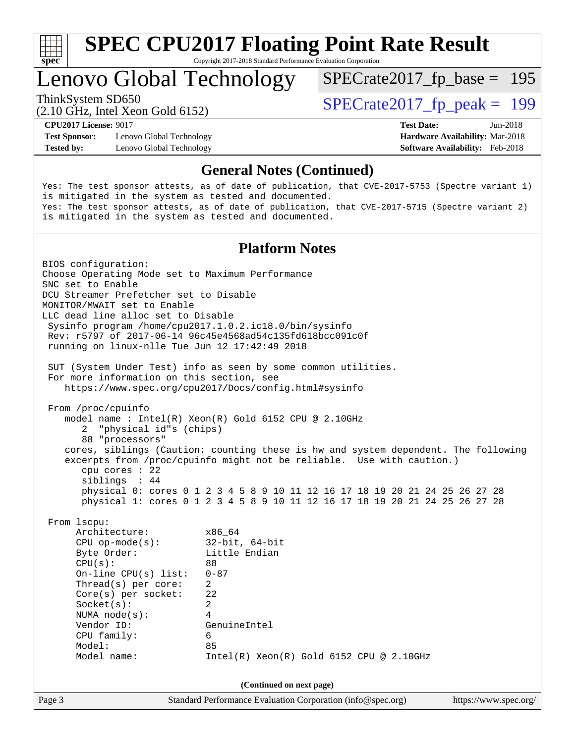

Copyright 2017-2018 Standard Performance Evaluation Corporation

### Lenovo Global Technology

ThinkSystem SD650<br>  $(2.10 \text{ GHz})$  Intel Yean Gold 6152)

[SPECrate2017\\_fp\\_base =](http://www.spec.org/auto/cpu2017/Docs/result-fields.html#SPECrate2017fpbase) 195

(2.10 GHz, Intel Xeon Gold 6152)

**[Test Sponsor:](http://www.spec.org/auto/cpu2017/Docs/result-fields.html#TestSponsor)** Lenovo Global Technology **[Hardware Availability:](http://www.spec.org/auto/cpu2017/Docs/result-fields.html#HardwareAvailability)** Mar-2018

**[CPU2017 License:](http://www.spec.org/auto/cpu2017/Docs/result-fields.html#CPU2017License)** 9017 **[Test Date:](http://www.spec.org/auto/cpu2017/Docs/result-fields.html#TestDate)** Jun-2018 **[Tested by:](http://www.spec.org/auto/cpu2017/Docs/result-fields.html#Testedby)** Lenovo Global Technology **[Software Availability:](http://www.spec.org/auto/cpu2017/Docs/result-fields.html#SoftwareAvailability)** Feb-2018

#### **[General Notes \(Continued\)](http://www.spec.org/auto/cpu2017/Docs/result-fields.html#GeneralNotes)**

Yes: The test sponsor attests, as of date of publication, that CVE-2017-5753 (Spectre variant 1) is mitigated in the system as tested and documented. Yes: The test sponsor attests, as of date of publication, that CVE-2017-5715 (Spectre variant 2) is mitigated in the system as tested and documented.

#### **[Platform Notes](http://www.spec.org/auto/cpu2017/Docs/result-fields.html#PlatformNotes)**

Page 3 Standard Performance Evaluation Corporation [\(info@spec.org\)](mailto:info@spec.org) <https://www.spec.org/> BIOS configuration: Choose Operating Mode set to Maximum Performance SNC set to Enable DCU Streamer Prefetcher set to Disable MONITOR/MWAIT set to Enable LLC dead line alloc set to Disable Sysinfo program /home/cpu2017.1.0.2.ic18.0/bin/sysinfo Rev: r5797 of 2017-06-14 96c45e4568ad54c135fd618bcc091c0f running on linux-nlle Tue Jun 12 17:42:49 2018 SUT (System Under Test) info as seen by some common utilities. For more information on this section, see <https://www.spec.org/cpu2017/Docs/config.html#sysinfo> From /proc/cpuinfo model name : Intel(R) Xeon(R) Gold 6152 CPU @ 2.10GHz 2 "physical id"s (chips) 88 "processors" cores, siblings (Caution: counting these is hw and system dependent. The following excerpts from /proc/cpuinfo might not be reliable. Use with caution.) cpu cores : 22 siblings : 44 physical 0: cores 0 1 2 3 4 5 8 9 10 11 12 16 17 18 19 20 21 24 25 26 27 28 physical 1: cores 0 1 2 3 4 5 8 9 10 11 12 16 17 18 19 20 21 24 25 26 27 28 From lscpu: Architecture: x86\_64 CPU op-mode(s): 32-bit, 64-bit Byte Order: Little Endian  $CPU(s):$  88 On-line CPU(s) list: 0-87 Thread(s) per core: 2 Core(s) per socket: 22 Socket(s): 2 NUMA node(s): 4 Vendor ID: GenuineIntel CPU family: 6 Model: 85 Model name: Intel(R) Xeon(R) Gold 6152 CPU @ 2.10GHz **(Continued on next page)**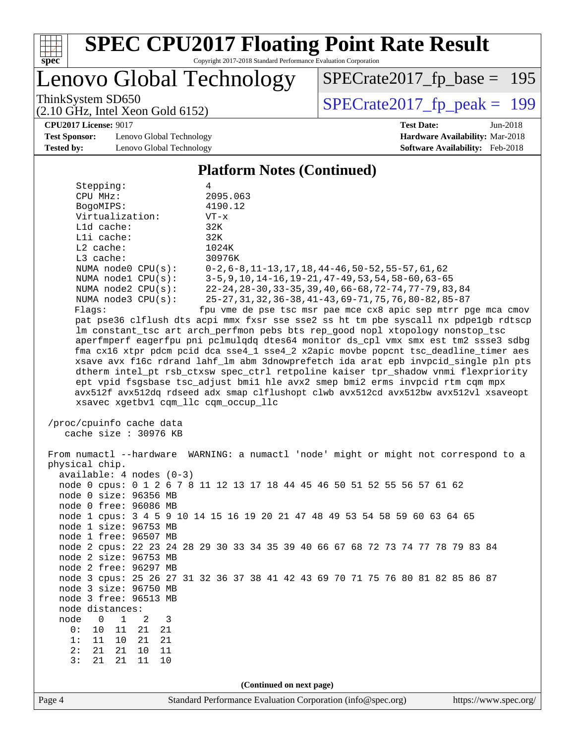

Copyright 2017-2018 Standard Performance Evaluation Corporation

Lenovo Global Technology

ThinkSystem SD650<br>(2.10 GHz, Intel Xeon Gold 6152)  $\begin{array}{r} | \text{SPECrate2017\_fp\_peak} = 199 \end{array}$ [SPECrate2017\\_fp\\_base =](http://www.spec.org/auto/cpu2017/Docs/result-fields.html#SPECrate2017fpbase) 195

**[CPU2017 License:](http://www.spec.org/auto/cpu2017/Docs/result-fields.html#CPU2017License)** 9017 **[Test Date:](http://www.spec.org/auto/cpu2017/Docs/result-fields.html#TestDate)** Jun-2018

**[Test Sponsor:](http://www.spec.org/auto/cpu2017/Docs/result-fields.html#TestSponsor)** Lenovo Global Technology **[Hardware Availability:](http://www.spec.org/auto/cpu2017/Docs/result-fields.html#HardwareAvailability)** Mar-2018 **[Tested by:](http://www.spec.org/auto/cpu2017/Docs/result-fields.html#Testedby)** Lenovo Global Technology **[Software Availability:](http://www.spec.org/auto/cpu2017/Docs/result-fields.html#SoftwareAvailability)** Feb-2018

(2.10 GHz, Intel Xeon Gold 6152)

Page 4 Standard Performance Evaluation Corporation [\(info@spec.org\)](mailto:info@spec.org) <https://www.spec.org/> **[Platform Notes \(Continued\)](http://www.spec.org/auto/cpu2017/Docs/result-fields.html#PlatformNotes)** Stepping: 4 CPU MHz: 2095.063 BogoMIPS: 4190.12 Virtualization: VT-x L1d cache: 32K L1i cache: 32K L2 cache: 1024K<br>
L3 cache: 30976K  $L3$  cache: NUMA node0 CPU(s): 0-2,6-8,11-13,17,18,44-46,50-52,55-57,61,62 NUMA node1 CPU(s): 3-5,9,10,14-16,19-21,47-49,53,54,58-60,63-65 NUMA node2 CPU(s): 22-24,28-30,33-35,39,40,66-68,72-74,77-79,83,84 NUMA node3 CPU(s): 25-27,31,32,36-38,41-43,69-71,75,76,80-82,85-87 Flags: fpu vme de pse tsc msr pae mce cx8 apic sep mtrr pge mca cmov pat pse36 clflush dts acpi mmx fxsr sse sse2 ss ht tm pbe syscall nx pdpe1gb rdtscp lm constant\_tsc art arch\_perfmon pebs bts rep\_good nopl xtopology nonstop\_tsc aperfmperf eagerfpu pni pclmulqdq dtes64 monitor ds\_cpl vmx smx est tm2 ssse3 sdbg fma cx16 xtpr pdcm pcid dca sse4\_1 sse4\_2 x2apic movbe popcnt tsc\_deadline\_timer aes xsave avx f16c rdrand lahf\_lm abm 3dnowprefetch ida arat epb invpcid\_single pln pts dtherm intel\_pt rsb\_ctxsw spec\_ctrl retpoline kaiser tpr\_shadow vnmi flexpriority ept vpid fsgsbase tsc\_adjust bmi1 hle avx2 smep bmi2 erms invpcid rtm cqm mpx avx512f avx512dq rdseed adx smap clflushopt clwb avx512cd avx512bw avx512vl xsaveopt xsavec xgetbv1 cqm\_llc cqm\_occup\_llc /proc/cpuinfo cache data cache size : 30976 KB From numactl --hardware WARNING: a numactl 'node' might or might not correspond to a physical chip. available: 4 nodes (0-3) node 0 cpus: 0 1 2 6 7 8 11 12 13 17 18 44 45 46 50 51 52 55 56 57 61 62 node 0 size: 96356 MB node 0 free: 96086 MB node 1 cpus: 3 4 5 9 10 14 15 16 19 20 21 47 48 49 53 54 58 59 60 63 64 65 node 1 size: 96753 MB node 1 free: 96507 MB node 2 cpus: 22 23 24 28 29 30 33 34 35 39 40 66 67 68 72 73 74 77 78 79 83 84 node 2 size: 96753 MB node 2 free: 96297 MB node 3 cpus: 25 26 27 31 32 36 37 38 41 42 43 69 70 71 75 76 80 81 82 85 86 87 node 3 size: 96750 MB node 3 free: 96513 MB node distances: node 0 1 2 3 0: 10 11 21 21 1: 11 10 21 21 2: 21 21 10 11 3: 21 21 11 10 **(Continued on next page)**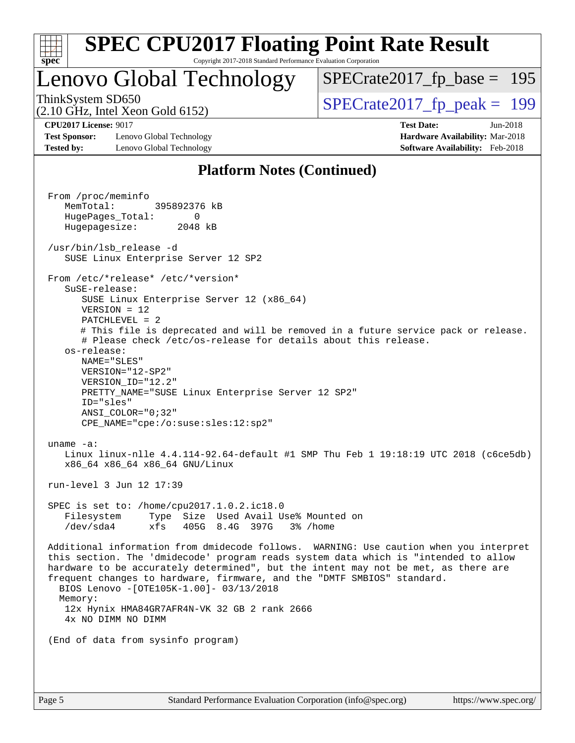| S.<br>De<br>ι. |  |  |  |  |  |  |  |
|----------------|--|--|--|--|--|--|--|

### Lenovo Global Technology

ThinkSystem SD650<br>(2.10 GHz, Intel Xeon Gold 6152)  $\begin{array}{r} | \text{SPECrate2017\_fp\_peak} = 199 \end{array}$ [SPECrate2017\\_fp\\_base =](http://www.spec.org/auto/cpu2017/Docs/result-fields.html#SPECrate2017fpbase) 195

(2.10 GHz, Intel Xeon Gold 6152)

**[Test Sponsor:](http://www.spec.org/auto/cpu2017/Docs/result-fields.html#TestSponsor)** Lenovo Global Technology **[Hardware Availability:](http://www.spec.org/auto/cpu2017/Docs/result-fields.html#HardwareAvailability)** Mar-2018 **[Tested by:](http://www.spec.org/auto/cpu2017/Docs/result-fields.html#Testedby)** Lenovo Global Technology **[Software Availability:](http://www.spec.org/auto/cpu2017/Docs/result-fields.html#SoftwareAvailability)** Feb-2018

**[CPU2017 License:](http://www.spec.org/auto/cpu2017/Docs/result-fields.html#CPU2017License)** 9017 **[Test Date:](http://www.spec.org/auto/cpu2017/Docs/result-fields.html#TestDate)** Jun-2018

#### **[Platform Notes \(Continued\)](http://www.spec.org/auto/cpu2017/Docs/result-fields.html#PlatformNotes)**

 From /proc/meminfo MemTotal: 395892376 kB HugePages\_Total: 0 Hugepagesize: 2048 kB /usr/bin/lsb\_release -d SUSE Linux Enterprise Server 12 SP2 From /etc/\*release\* /etc/\*version\* SuSE-release: SUSE Linux Enterprise Server 12 (x86\_64) VERSION = 12 PATCHLEVEL = 2 # This file is deprecated and will be removed in a future service pack or release. # Please check /etc/os-release for details about this release. os-release: NAME="SLES" VERSION="12-SP2" VERSION\_ID="12.2" PRETTY\_NAME="SUSE Linux Enterprise Server 12 SP2" ID="sles" ANSI\_COLOR="0;32" CPE\_NAME="cpe:/o:suse:sles:12:sp2" uname -a: Linux linux-nlle 4.4.114-92.64-default #1 SMP Thu Feb 1 19:18:19 UTC 2018 (c6ce5db) x86\_64 x86\_64 x86\_64 GNU/Linux run-level 3 Jun 12 17:39 SPEC is set to: /home/cpu2017.1.0.2.ic18.0 Filesystem Type Size Used Avail Use% Mounted on /dev/sda4 xfs 405G 8.4G 397G 3% /home Additional information from dmidecode follows. WARNING: Use caution when you interpret this section. The 'dmidecode' program reads system data which is "intended to allow hardware to be accurately determined", but the intent may not be met, as there are frequent changes to hardware, firmware, and the "DMTF SMBIOS" standard. BIOS Lenovo -[OTE105K-1.00]- 03/13/2018 Memory: 12x Hynix HMA84GR7AFR4N-VK 32 GB 2 rank 2666 4x NO DIMM NO DIMM (End of data from sysinfo program)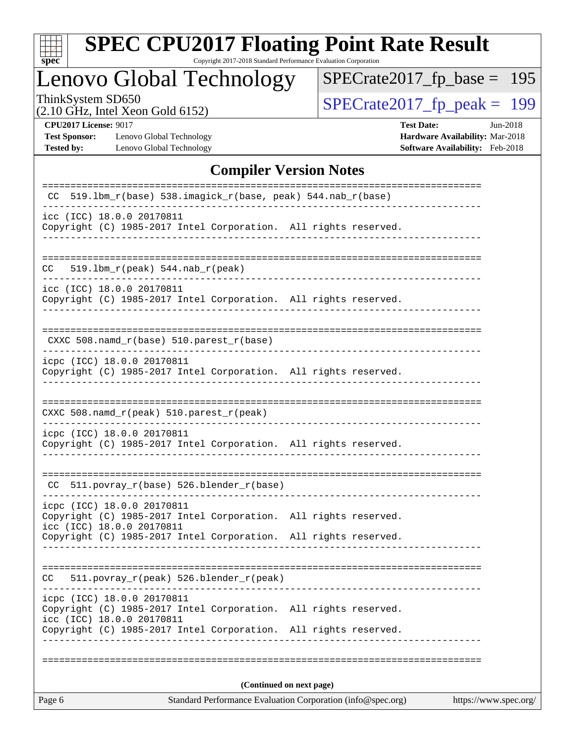

Copyright 2017-2018 Standard Performance Evaluation Corporation

### Lenovo Global Technology

ThinkSystem SD650<br>  $(2.10 \text{ GHz} \cdot \text{Intel} \times \text{eon} \text{ Gold } 6152)$  [SPECrate2017\\_fp\\_peak =](http://www.spec.org/auto/cpu2017/Docs/result-fields.html#SPECrate2017fppeak) 199

[SPECrate2017\\_fp\\_base =](http://www.spec.org/auto/cpu2017/Docs/result-fields.html#SPECrate2017fpbase) 195

(2.10 GHz, Intel Xeon Gold 6152)

**[Test Sponsor:](http://www.spec.org/auto/cpu2017/Docs/result-fields.html#TestSponsor)** Lenovo Global Technology **[Hardware Availability:](http://www.spec.org/auto/cpu2017/Docs/result-fields.html#HardwareAvailability)** Mar-2018 **[Tested by:](http://www.spec.org/auto/cpu2017/Docs/result-fields.html#Testedby)** Lenovo Global Technology **[Software Availability:](http://www.spec.org/auto/cpu2017/Docs/result-fields.html#SoftwareAvailability)** Feb-2018

**[CPU2017 License:](http://www.spec.org/auto/cpu2017/Docs/result-fields.html#CPU2017License)** 9017 **[Test Date:](http://www.spec.org/auto/cpu2017/Docs/result-fields.html#TestDate)** Jun-2018

#### **[Compiler Version Notes](http://www.spec.org/auto/cpu2017/Docs/result-fields.html#CompilerVersionNotes)**

| Standard Performance Evaluation Corporation (info@spec.org)<br>https://www.spec.org/<br>Page 6                                                                                                |  |  |  |  |  |  |
|-----------------------------------------------------------------------------------------------------------------------------------------------------------------------------------------------|--|--|--|--|--|--|
| (Continued on next page)                                                                                                                                                                      |  |  |  |  |  |  |
|                                                                                                                                                                                               |  |  |  |  |  |  |
| icpc (ICC) 18.0.0 20170811<br>Copyright (C) 1985-2017 Intel Corporation. All rights reserved.<br>icc (ICC) 18.0.0 20170811<br>Copyright (C) 1985-2017 Intel Corporation. All rights reserved. |  |  |  |  |  |  |
| 511.povray_r(peak) 526.blender_r(peak)<br>CC.                                                                                                                                                 |  |  |  |  |  |  |
| Copyright (C) 1985-2017 Intel Corporation. All rights reserved.                                                                                                                               |  |  |  |  |  |  |
| icpc (ICC) 18.0.0 20170811<br>Copyright (C) 1985-2017 Intel Corporation. All rights reserved.<br>icc (ICC) 18.0.0 20170811                                                                    |  |  |  |  |  |  |
| $CC$ 511.povray $r(base)$ 526.blender $r(base)$                                                                                                                                               |  |  |  |  |  |  |
| icpc (ICC) 18.0.0 20170811<br>Copyright (C) 1985-2017 Intel Corporation. All rights reserved.                                                                                                 |  |  |  |  |  |  |
| CXXC 508.namd_r(peak) 510.parest_r(peak)                                                                                                                                                      |  |  |  |  |  |  |
| icpc (ICC) 18.0.0 20170811<br>Copyright (C) 1985-2017 Intel Corporation. All rights reserved.                                                                                                 |  |  |  |  |  |  |
| CXXC 508.namd_r(base) 510.parest_r(base)                                                                                                                                                      |  |  |  |  |  |  |
| icc (ICC) 18.0.0 20170811<br>Copyright (C) 1985-2017 Intel Corporation. All rights reserved.                                                                                                  |  |  |  |  |  |  |
| CC.<br>$519.1bm_r(peak) 544.nab_r(peak)$                                                                                                                                                      |  |  |  |  |  |  |
| icc (ICC) 18.0.0 20170811<br>Copyright (C) 1985-2017 Intel Corporation. All rights reserved.                                                                                                  |  |  |  |  |  |  |
| $519.1$ bm_r(base) $538.imagick_r(base, peak)$ 544.nab_r(base)                                                                                                                                |  |  |  |  |  |  |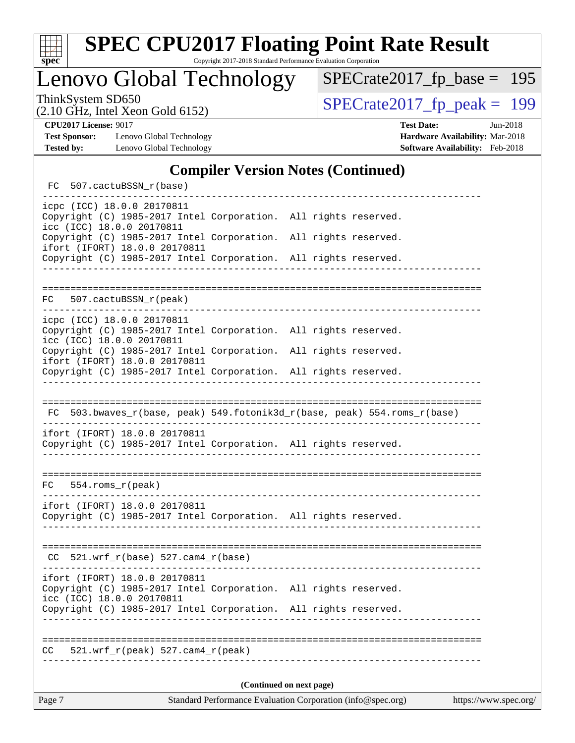

Lenovo Global Technology

ThinkSystem SD650<br>  $\begin{array}{|c|c|c|c|}\n\hline\n\text{7 10 GHz} & \text{Total } \text{Y}_{\text{201}} & \text{Gold } \text{6152}\n\hline\n\end{array}$ 

[SPECrate2017\\_fp\\_base =](http://www.spec.org/auto/cpu2017/Docs/result-fields.html#SPECrate2017fpbase) 195

(2.10 GHz, Intel Xeon Gold 6152)

**[Test Sponsor:](http://www.spec.org/auto/cpu2017/Docs/result-fields.html#TestSponsor)** Lenovo Global Technology **[Hardware Availability:](http://www.spec.org/auto/cpu2017/Docs/result-fields.html#HardwareAvailability)** Mar-2018 **[Tested by:](http://www.spec.org/auto/cpu2017/Docs/result-fields.html#Testedby)** Lenovo Global Technology **[Software Availability:](http://www.spec.org/auto/cpu2017/Docs/result-fields.html#SoftwareAvailability)** Feb-2018

**[CPU2017 License:](http://www.spec.org/auto/cpu2017/Docs/result-fields.html#CPU2017License)** 9017 **[Test Date:](http://www.spec.org/auto/cpu2017/Docs/result-fields.html#TestDate)** Jun-2018

#### **[Compiler Version Notes \(Continued\)](http://www.spec.org/auto/cpu2017/Docs/result-fields.html#CompilerVersionNotes)**

FC 507.cactuBSSN r(base) ----------------------------------------------------------------------------- icpc (ICC) 18.0.0 20170811 Copyright (C) 1985-2017 Intel Corporation. All rights reserved. icc (ICC) 18.0.0 20170811 Copyright (C) 1985-2017 Intel Corporation. All rights reserved. ifort (IFORT) 18.0.0 20170811 Copyright (C) 1985-2017 Intel Corporation. All rights reserved. ------------------------------------------------------------------------------ ============================================================================== FC 507.cactuBSSN\_r(peak) ----------------------------------------------------------------------------- icpc (ICC) 18.0.0 20170811 Copyright (C) 1985-2017 Intel Corporation. All rights reserved. icc (ICC) 18.0.0 20170811 Copyright (C) 1985-2017 Intel Corporation. All rights reserved. ifort (IFORT) 18.0.0 20170811 Copyright (C) 1985-2017 Intel Corporation. All rights reserved. ------------------------------------------------------------------------------ ============================================================================== FC 503.bwaves\_r(base, peak) 549.fotonik3d\_r(base, peak) 554.roms\_r(base) ----------------------------------------------------------------------------- ifort (IFORT) 18.0.0 20170811 Copyright (C) 1985-2017 Intel Corporation. All rights reserved. ------------------------------------------------------------------------------ ============================================================================== FC 554.roms\_r(peak) ----------------------------------------------------------------------------- ifort (IFORT) 18.0.0 20170811 Copyright (C) 1985-2017 Intel Corporation. All rights reserved. ------------------------------------------------------------------------------ ============================================================================== CC 521.wrf\_r(base) 527.cam4\_r(base) ----------------------------------------------------------------------------- ifort (IFORT) 18.0.0 20170811 Copyright (C) 1985-2017 Intel Corporation. All rights reserved. icc (ICC) 18.0.0 20170811 Copyright (C) 1985-2017 Intel Corporation. All rights reserved. ------------------------------------------------------------------------------ ============================================================================== CC 521.wrf\_r(peak) 527.cam4\_r(peak) ------------------------------------------------------------------------------ **(Continued on next page)**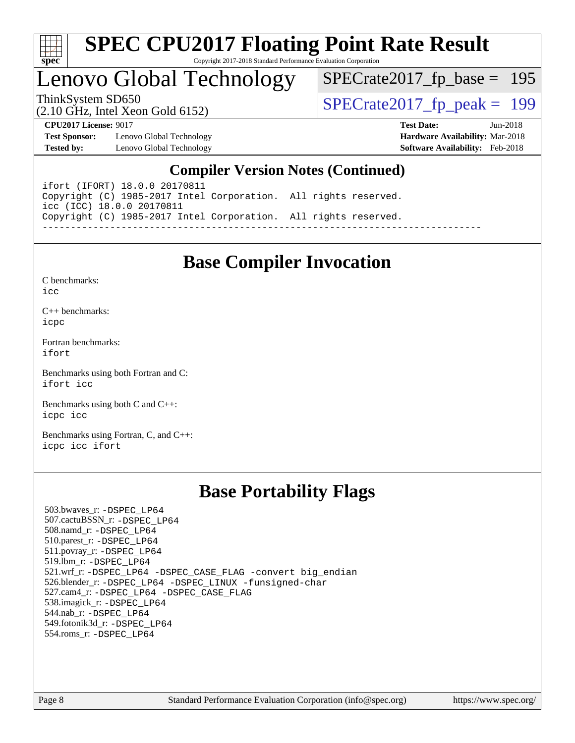

### Lenovo Global Technology

[SPECrate2017\\_fp\\_base =](http://www.spec.org/auto/cpu2017/Docs/result-fields.html#SPECrate2017fpbase) 195

(2.10 GHz, Intel Xeon Gold 6152)

ThinkSystem SD650<br>(2.10 GHz, Intel Xeon Gold 6152)  $\begin{array}{r} | \text{SPECrate2017\_fp\_peak} = 199 \end{array}$ 

**[CPU2017 License:](http://www.spec.org/auto/cpu2017/Docs/result-fields.html#CPU2017License)** 9017 **[Test Date:](http://www.spec.org/auto/cpu2017/Docs/result-fields.html#TestDate)** Jun-2018

**[Test Sponsor:](http://www.spec.org/auto/cpu2017/Docs/result-fields.html#TestSponsor)** Lenovo Global Technology **[Hardware Availability:](http://www.spec.org/auto/cpu2017/Docs/result-fields.html#HardwareAvailability)** Mar-2018 **[Tested by:](http://www.spec.org/auto/cpu2017/Docs/result-fields.html#Testedby)** Lenovo Global Technology **[Software Availability:](http://www.spec.org/auto/cpu2017/Docs/result-fields.html#SoftwareAvailability)** Feb-2018

### **[Compiler Version Notes \(Continued\)](http://www.spec.org/auto/cpu2017/Docs/result-fields.html#CompilerVersionNotes)**

ifort (IFORT) 18.0.0 20170811 Copyright (C) 1985-2017 Intel Corporation. All rights reserved. icc (ICC) 18.0.0 20170811 Copyright (C) 1985-2017 Intel Corporation. All rights reserved. ------------------------------------------------------------------------------

### **[Base Compiler Invocation](http://www.spec.org/auto/cpu2017/Docs/result-fields.html#BaseCompilerInvocation)**

[C benchmarks](http://www.spec.org/auto/cpu2017/Docs/result-fields.html#Cbenchmarks):  $i$ cc

[C++ benchmarks:](http://www.spec.org/auto/cpu2017/Docs/result-fields.html#CXXbenchmarks) [icpc](http://www.spec.org/cpu2017/results/res2018q3/cpu2017-20180625-07351.flags.html#user_CXXbase_intel_icpc_18.0_c510b6838c7f56d33e37e94d029a35b4a7bccf4766a728ee175e80a419847e808290a9b78be685c44ab727ea267ec2f070ec5dc83b407c0218cded6866a35d07)

[Fortran benchmarks](http://www.spec.org/auto/cpu2017/Docs/result-fields.html#Fortranbenchmarks): [ifort](http://www.spec.org/cpu2017/results/res2018q3/cpu2017-20180625-07351.flags.html#user_FCbase_intel_ifort_18.0_8111460550e3ca792625aed983ce982f94888b8b503583aa7ba2b8303487b4d8a21a13e7191a45c5fd58ff318f48f9492884d4413fa793fd88dd292cad7027ca)

[Benchmarks using both Fortran and C](http://www.spec.org/auto/cpu2017/Docs/result-fields.html#BenchmarksusingbothFortranandC): [ifort](http://www.spec.org/cpu2017/results/res2018q3/cpu2017-20180625-07351.flags.html#user_CC_FCbase_intel_ifort_18.0_8111460550e3ca792625aed983ce982f94888b8b503583aa7ba2b8303487b4d8a21a13e7191a45c5fd58ff318f48f9492884d4413fa793fd88dd292cad7027ca) [icc](http://www.spec.org/cpu2017/results/res2018q3/cpu2017-20180625-07351.flags.html#user_CC_FCbase_intel_icc_18.0_66fc1ee009f7361af1fbd72ca7dcefbb700085f36577c54f309893dd4ec40d12360134090235512931783d35fd58c0460139e722d5067c5574d8eaf2b3e37e92)

[Benchmarks using both C and C++](http://www.spec.org/auto/cpu2017/Docs/result-fields.html#BenchmarksusingbothCandCXX): [icpc](http://www.spec.org/cpu2017/results/res2018q3/cpu2017-20180625-07351.flags.html#user_CC_CXXbase_intel_icpc_18.0_c510b6838c7f56d33e37e94d029a35b4a7bccf4766a728ee175e80a419847e808290a9b78be685c44ab727ea267ec2f070ec5dc83b407c0218cded6866a35d07) [icc](http://www.spec.org/cpu2017/results/res2018q3/cpu2017-20180625-07351.flags.html#user_CC_CXXbase_intel_icc_18.0_66fc1ee009f7361af1fbd72ca7dcefbb700085f36577c54f309893dd4ec40d12360134090235512931783d35fd58c0460139e722d5067c5574d8eaf2b3e37e92)

[Benchmarks using Fortran, C, and C++:](http://www.spec.org/auto/cpu2017/Docs/result-fields.html#BenchmarksusingFortranCandCXX) [icpc](http://www.spec.org/cpu2017/results/res2018q3/cpu2017-20180625-07351.flags.html#user_CC_CXX_FCbase_intel_icpc_18.0_c510b6838c7f56d33e37e94d029a35b4a7bccf4766a728ee175e80a419847e808290a9b78be685c44ab727ea267ec2f070ec5dc83b407c0218cded6866a35d07) [icc](http://www.spec.org/cpu2017/results/res2018q3/cpu2017-20180625-07351.flags.html#user_CC_CXX_FCbase_intel_icc_18.0_66fc1ee009f7361af1fbd72ca7dcefbb700085f36577c54f309893dd4ec40d12360134090235512931783d35fd58c0460139e722d5067c5574d8eaf2b3e37e92) [ifort](http://www.spec.org/cpu2017/results/res2018q3/cpu2017-20180625-07351.flags.html#user_CC_CXX_FCbase_intel_ifort_18.0_8111460550e3ca792625aed983ce982f94888b8b503583aa7ba2b8303487b4d8a21a13e7191a45c5fd58ff318f48f9492884d4413fa793fd88dd292cad7027ca)

### **[Base Portability Flags](http://www.spec.org/auto/cpu2017/Docs/result-fields.html#BasePortabilityFlags)**

 503.bwaves\_r: [-DSPEC\\_LP64](http://www.spec.org/cpu2017/results/res2018q3/cpu2017-20180625-07351.flags.html#suite_basePORTABILITY503_bwaves_r_DSPEC_LP64) 507.cactuBSSN\_r: [-DSPEC\\_LP64](http://www.spec.org/cpu2017/results/res2018q3/cpu2017-20180625-07351.flags.html#suite_basePORTABILITY507_cactuBSSN_r_DSPEC_LP64) 508.namd\_r: [-DSPEC\\_LP64](http://www.spec.org/cpu2017/results/res2018q3/cpu2017-20180625-07351.flags.html#suite_basePORTABILITY508_namd_r_DSPEC_LP64) 510.parest\_r: [-DSPEC\\_LP64](http://www.spec.org/cpu2017/results/res2018q3/cpu2017-20180625-07351.flags.html#suite_basePORTABILITY510_parest_r_DSPEC_LP64) 511.povray\_r: [-DSPEC\\_LP64](http://www.spec.org/cpu2017/results/res2018q3/cpu2017-20180625-07351.flags.html#suite_basePORTABILITY511_povray_r_DSPEC_LP64) 519.lbm\_r: [-DSPEC\\_LP64](http://www.spec.org/cpu2017/results/res2018q3/cpu2017-20180625-07351.flags.html#suite_basePORTABILITY519_lbm_r_DSPEC_LP64) 521.wrf\_r: [-DSPEC\\_LP64](http://www.spec.org/cpu2017/results/res2018q3/cpu2017-20180625-07351.flags.html#suite_basePORTABILITY521_wrf_r_DSPEC_LP64) [-DSPEC\\_CASE\\_FLAG](http://www.spec.org/cpu2017/results/res2018q3/cpu2017-20180625-07351.flags.html#b521.wrf_r_baseCPORTABILITY_DSPEC_CASE_FLAG) [-convert big\\_endian](http://www.spec.org/cpu2017/results/res2018q3/cpu2017-20180625-07351.flags.html#user_baseFPORTABILITY521_wrf_r_convert_big_endian_c3194028bc08c63ac5d04de18c48ce6d347e4e562e8892b8bdbdc0214820426deb8554edfa529a3fb25a586e65a3d812c835984020483e7e73212c4d31a38223) 526.blender\_r: [-DSPEC\\_LP64](http://www.spec.org/cpu2017/results/res2018q3/cpu2017-20180625-07351.flags.html#suite_basePORTABILITY526_blender_r_DSPEC_LP64) [-DSPEC\\_LINUX](http://www.spec.org/cpu2017/results/res2018q3/cpu2017-20180625-07351.flags.html#b526.blender_r_baseCPORTABILITY_DSPEC_LINUX) [-funsigned-char](http://www.spec.org/cpu2017/results/res2018q3/cpu2017-20180625-07351.flags.html#user_baseCPORTABILITY526_blender_r_force_uchar_40c60f00ab013830e2dd6774aeded3ff59883ba5a1fc5fc14077f794d777847726e2a5858cbc7672e36e1b067e7e5c1d9a74f7176df07886a243d7cc18edfe67) 527.cam4\_r: [-DSPEC\\_LP64](http://www.spec.org/cpu2017/results/res2018q3/cpu2017-20180625-07351.flags.html#suite_basePORTABILITY527_cam4_r_DSPEC_LP64) [-DSPEC\\_CASE\\_FLAG](http://www.spec.org/cpu2017/results/res2018q3/cpu2017-20180625-07351.flags.html#b527.cam4_r_baseCPORTABILITY_DSPEC_CASE_FLAG) 538.imagick\_r: [-DSPEC\\_LP64](http://www.spec.org/cpu2017/results/res2018q3/cpu2017-20180625-07351.flags.html#suite_basePORTABILITY538_imagick_r_DSPEC_LP64) 544.nab\_r: [-DSPEC\\_LP64](http://www.spec.org/cpu2017/results/res2018q3/cpu2017-20180625-07351.flags.html#suite_basePORTABILITY544_nab_r_DSPEC_LP64) 549.fotonik3d\_r: [-DSPEC\\_LP64](http://www.spec.org/cpu2017/results/res2018q3/cpu2017-20180625-07351.flags.html#suite_basePORTABILITY549_fotonik3d_r_DSPEC_LP64) 554.roms\_r: [-DSPEC\\_LP64](http://www.spec.org/cpu2017/results/res2018q3/cpu2017-20180625-07351.flags.html#suite_basePORTABILITY554_roms_r_DSPEC_LP64)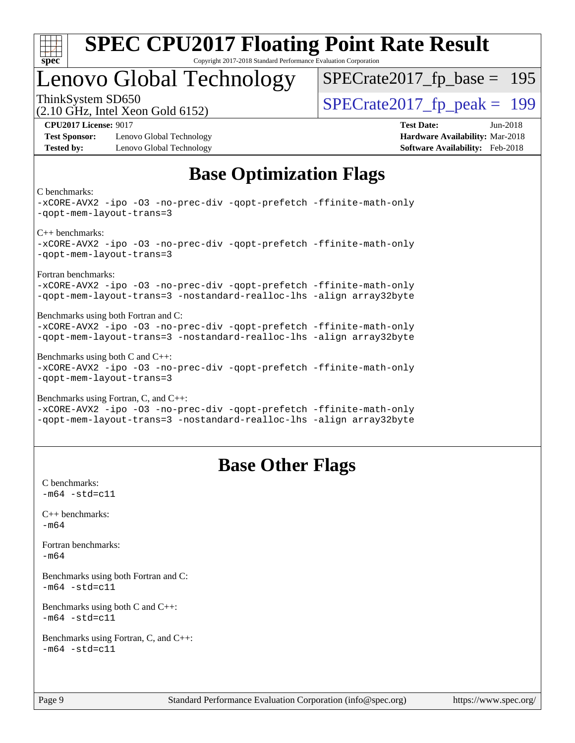

### Lenovo Global Technology

ThinkSystem SD650<br>  $\langle 2.10 \text{ GHz}$  Intel Yean Gold 6152) [SPECrate2017\\_fp\\_base =](http://www.spec.org/auto/cpu2017/Docs/result-fields.html#SPECrate2017fpbase) 195

(2.10 GHz, Intel Xeon Gold 6152)

**[Test Sponsor:](http://www.spec.org/auto/cpu2017/Docs/result-fields.html#TestSponsor)** Lenovo Global Technology **[Hardware Availability:](http://www.spec.org/auto/cpu2017/Docs/result-fields.html#HardwareAvailability)** Mar-2018 **[Tested by:](http://www.spec.org/auto/cpu2017/Docs/result-fields.html#Testedby)** Lenovo Global Technology **[Software Availability:](http://www.spec.org/auto/cpu2017/Docs/result-fields.html#SoftwareAvailability)** Feb-2018

**[CPU2017 License:](http://www.spec.org/auto/cpu2017/Docs/result-fields.html#CPU2017License)** 9017 **[Test Date:](http://www.spec.org/auto/cpu2017/Docs/result-fields.html#TestDate)** Jun-2018

### **[Base Optimization Flags](http://www.spec.org/auto/cpu2017/Docs/result-fields.html#BaseOptimizationFlags)**

[C benchmarks:](http://www.spec.org/auto/cpu2017/Docs/result-fields.html#Cbenchmarks)

[-xCORE-AVX2](http://www.spec.org/cpu2017/results/res2018q3/cpu2017-20180625-07351.flags.html#user_CCbase_f-xCORE-AVX2) [-ipo](http://www.spec.org/cpu2017/results/res2018q3/cpu2017-20180625-07351.flags.html#user_CCbase_f-ipo) [-O3](http://www.spec.org/cpu2017/results/res2018q3/cpu2017-20180625-07351.flags.html#user_CCbase_f-O3) [-no-prec-div](http://www.spec.org/cpu2017/results/res2018q3/cpu2017-20180625-07351.flags.html#user_CCbase_f-no-prec-div) [-qopt-prefetch](http://www.spec.org/cpu2017/results/res2018q3/cpu2017-20180625-07351.flags.html#user_CCbase_f-qopt-prefetch) [-ffinite-math-only](http://www.spec.org/cpu2017/results/res2018q3/cpu2017-20180625-07351.flags.html#user_CCbase_f_finite_math_only_cb91587bd2077682c4b38af759c288ed7c732db004271a9512da14a4f8007909a5f1427ecbf1a0fb78ff2a814402c6114ac565ca162485bbcae155b5e4258871) [-qopt-mem-layout-trans=3](http://www.spec.org/cpu2017/results/res2018q3/cpu2017-20180625-07351.flags.html#user_CCbase_f-qopt-mem-layout-trans_de80db37974c74b1f0e20d883f0b675c88c3b01e9d123adea9b28688d64333345fb62bc4a798493513fdb68f60282f9a726aa07f478b2f7113531aecce732043) [C++ benchmarks](http://www.spec.org/auto/cpu2017/Docs/result-fields.html#CXXbenchmarks): [-xCORE-AVX2](http://www.spec.org/cpu2017/results/res2018q3/cpu2017-20180625-07351.flags.html#user_CXXbase_f-xCORE-AVX2) [-ipo](http://www.spec.org/cpu2017/results/res2018q3/cpu2017-20180625-07351.flags.html#user_CXXbase_f-ipo) [-O3](http://www.spec.org/cpu2017/results/res2018q3/cpu2017-20180625-07351.flags.html#user_CXXbase_f-O3) [-no-prec-div](http://www.spec.org/cpu2017/results/res2018q3/cpu2017-20180625-07351.flags.html#user_CXXbase_f-no-prec-div) [-qopt-prefetch](http://www.spec.org/cpu2017/results/res2018q3/cpu2017-20180625-07351.flags.html#user_CXXbase_f-qopt-prefetch) [-ffinite-math-only](http://www.spec.org/cpu2017/results/res2018q3/cpu2017-20180625-07351.flags.html#user_CXXbase_f_finite_math_only_cb91587bd2077682c4b38af759c288ed7c732db004271a9512da14a4f8007909a5f1427ecbf1a0fb78ff2a814402c6114ac565ca162485bbcae155b5e4258871) [-qopt-mem-layout-trans=3](http://www.spec.org/cpu2017/results/res2018q3/cpu2017-20180625-07351.flags.html#user_CXXbase_f-qopt-mem-layout-trans_de80db37974c74b1f0e20d883f0b675c88c3b01e9d123adea9b28688d64333345fb62bc4a798493513fdb68f60282f9a726aa07f478b2f7113531aecce732043) [Fortran benchmarks:](http://www.spec.org/auto/cpu2017/Docs/result-fields.html#Fortranbenchmarks) [-xCORE-AVX2](http://www.spec.org/cpu2017/results/res2018q3/cpu2017-20180625-07351.flags.html#user_FCbase_f-xCORE-AVX2) [-ipo](http://www.spec.org/cpu2017/results/res2018q3/cpu2017-20180625-07351.flags.html#user_FCbase_f-ipo) [-O3](http://www.spec.org/cpu2017/results/res2018q3/cpu2017-20180625-07351.flags.html#user_FCbase_f-O3) [-no-prec-div](http://www.spec.org/cpu2017/results/res2018q3/cpu2017-20180625-07351.flags.html#user_FCbase_f-no-prec-div) [-qopt-prefetch](http://www.spec.org/cpu2017/results/res2018q3/cpu2017-20180625-07351.flags.html#user_FCbase_f-qopt-prefetch) [-ffinite-math-only](http://www.spec.org/cpu2017/results/res2018q3/cpu2017-20180625-07351.flags.html#user_FCbase_f_finite_math_only_cb91587bd2077682c4b38af759c288ed7c732db004271a9512da14a4f8007909a5f1427ecbf1a0fb78ff2a814402c6114ac565ca162485bbcae155b5e4258871) [-qopt-mem-layout-trans=3](http://www.spec.org/cpu2017/results/res2018q3/cpu2017-20180625-07351.flags.html#user_FCbase_f-qopt-mem-layout-trans_de80db37974c74b1f0e20d883f0b675c88c3b01e9d123adea9b28688d64333345fb62bc4a798493513fdb68f60282f9a726aa07f478b2f7113531aecce732043) [-nostandard-realloc-lhs](http://www.spec.org/cpu2017/results/res2018q3/cpu2017-20180625-07351.flags.html#user_FCbase_f_2003_std_realloc_82b4557e90729c0f113870c07e44d33d6f5a304b4f63d4c15d2d0f1fab99f5daaed73bdb9275d9ae411527f28b936061aa8b9c8f2d63842963b95c9dd6426b8a) [-align array32byte](http://www.spec.org/cpu2017/results/res2018q3/cpu2017-20180625-07351.flags.html#user_FCbase_align_array32byte_b982fe038af199962ba9a80c053b8342c548c85b40b8e86eb3cc33dee0d7986a4af373ac2d51c3f7cf710a18d62fdce2948f201cd044323541f22fc0fffc51b6) [Benchmarks using both Fortran and C:](http://www.spec.org/auto/cpu2017/Docs/result-fields.html#BenchmarksusingbothFortranandC) [-xCORE-AVX2](http://www.spec.org/cpu2017/results/res2018q3/cpu2017-20180625-07351.flags.html#user_CC_FCbase_f-xCORE-AVX2) [-ipo](http://www.spec.org/cpu2017/results/res2018q3/cpu2017-20180625-07351.flags.html#user_CC_FCbase_f-ipo) [-O3](http://www.spec.org/cpu2017/results/res2018q3/cpu2017-20180625-07351.flags.html#user_CC_FCbase_f-O3) [-no-prec-div](http://www.spec.org/cpu2017/results/res2018q3/cpu2017-20180625-07351.flags.html#user_CC_FCbase_f-no-prec-div) [-qopt-prefetch](http://www.spec.org/cpu2017/results/res2018q3/cpu2017-20180625-07351.flags.html#user_CC_FCbase_f-qopt-prefetch) [-ffinite-math-only](http://www.spec.org/cpu2017/results/res2018q3/cpu2017-20180625-07351.flags.html#user_CC_FCbase_f_finite_math_only_cb91587bd2077682c4b38af759c288ed7c732db004271a9512da14a4f8007909a5f1427ecbf1a0fb78ff2a814402c6114ac565ca162485bbcae155b5e4258871) [-qopt-mem-layout-trans=3](http://www.spec.org/cpu2017/results/res2018q3/cpu2017-20180625-07351.flags.html#user_CC_FCbase_f-qopt-mem-layout-trans_de80db37974c74b1f0e20d883f0b675c88c3b01e9d123adea9b28688d64333345fb62bc4a798493513fdb68f60282f9a726aa07f478b2f7113531aecce732043) [-nostandard-realloc-lhs](http://www.spec.org/cpu2017/results/res2018q3/cpu2017-20180625-07351.flags.html#user_CC_FCbase_f_2003_std_realloc_82b4557e90729c0f113870c07e44d33d6f5a304b4f63d4c15d2d0f1fab99f5daaed73bdb9275d9ae411527f28b936061aa8b9c8f2d63842963b95c9dd6426b8a) [-align array32byte](http://www.spec.org/cpu2017/results/res2018q3/cpu2017-20180625-07351.flags.html#user_CC_FCbase_align_array32byte_b982fe038af199962ba9a80c053b8342c548c85b40b8e86eb3cc33dee0d7986a4af373ac2d51c3f7cf710a18d62fdce2948f201cd044323541f22fc0fffc51b6) [Benchmarks using both C and C++](http://www.spec.org/auto/cpu2017/Docs/result-fields.html#BenchmarksusingbothCandCXX): [-xCORE-AVX2](http://www.spec.org/cpu2017/results/res2018q3/cpu2017-20180625-07351.flags.html#user_CC_CXXbase_f-xCORE-AVX2) [-ipo](http://www.spec.org/cpu2017/results/res2018q3/cpu2017-20180625-07351.flags.html#user_CC_CXXbase_f-ipo) [-O3](http://www.spec.org/cpu2017/results/res2018q3/cpu2017-20180625-07351.flags.html#user_CC_CXXbase_f-O3) [-no-prec-div](http://www.spec.org/cpu2017/results/res2018q3/cpu2017-20180625-07351.flags.html#user_CC_CXXbase_f-no-prec-div) [-qopt-prefetch](http://www.spec.org/cpu2017/results/res2018q3/cpu2017-20180625-07351.flags.html#user_CC_CXXbase_f-qopt-prefetch) [-ffinite-math-only](http://www.spec.org/cpu2017/results/res2018q3/cpu2017-20180625-07351.flags.html#user_CC_CXXbase_f_finite_math_only_cb91587bd2077682c4b38af759c288ed7c732db004271a9512da14a4f8007909a5f1427ecbf1a0fb78ff2a814402c6114ac565ca162485bbcae155b5e4258871) [-qopt-mem-layout-trans=3](http://www.spec.org/cpu2017/results/res2018q3/cpu2017-20180625-07351.flags.html#user_CC_CXXbase_f-qopt-mem-layout-trans_de80db37974c74b1f0e20d883f0b675c88c3b01e9d123adea9b28688d64333345fb62bc4a798493513fdb68f60282f9a726aa07f478b2f7113531aecce732043) [Benchmarks using Fortran, C, and C++](http://www.spec.org/auto/cpu2017/Docs/result-fields.html#BenchmarksusingFortranCandCXX): [-xCORE-AVX2](http://www.spec.org/cpu2017/results/res2018q3/cpu2017-20180625-07351.flags.html#user_CC_CXX_FCbase_f-xCORE-AVX2) [-ipo](http://www.spec.org/cpu2017/results/res2018q3/cpu2017-20180625-07351.flags.html#user_CC_CXX_FCbase_f-ipo) [-O3](http://www.spec.org/cpu2017/results/res2018q3/cpu2017-20180625-07351.flags.html#user_CC_CXX_FCbase_f-O3) [-no-prec-div](http://www.spec.org/cpu2017/results/res2018q3/cpu2017-20180625-07351.flags.html#user_CC_CXX_FCbase_f-no-prec-div) [-qopt-prefetch](http://www.spec.org/cpu2017/results/res2018q3/cpu2017-20180625-07351.flags.html#user_CC_CXX_FCbase_f-qopt-prefetch) [-ffinite-math-only](http://www.spec.org/cpu2017/results/res2018q3/cpu2017-20180625-07351.flags.html#user_CC_CXX_FCbase_f_finite_math_only_cb91587bd2077682c4b38af759c288ed7c732db004271a9512da14a4f8007909a5f1427ecbf1a0fb78ff2a814402c6114ac565ca162485bbcae155b5e4258871) [-qopt-mem-layout-trans=3](http://www.spec.org/cpu2017/results/res2018q3/cpu2017-20180625-07351.flags.html#user_CC_CXX_FCbase_f-qopt-mem-layout-trans_de80db37974c74b1f0e20d883f0b675c88c3b01e9d123adea9b28688d64333345fb62bc4a798493513fdb68f60282f9a726aa07f478b2f7113531aecce732043) [-nostandard-realloc-lhs](http://www.spec.org/cpu2017/results/res2018q3/cpu2017-20180625-07351.flags.html#user_CC_CXX_FCbase_f_2003_std_realloc_82b4557e90729c0f113870c07e44d33d6f5a304b4f63d4c15d2d0f1fab99f5daaed73bdb9275d9ae411527f28b936061aa8b9c8f2d63842963b95c9dd6426b8a) [-align array32byte](http://www.spec.org/cpu2017/results/res2018q3/cpu2017-20180625-07351.flags.html#user_CC_CXX_FCbase_align_array32byte_b982fe038af199962ba9a80c053b8342c548c85b40b8e86eb3cc33dee0d7986a4af373ac2d51c3f7cf710a18d62fdce2948f201cd044323541f22fc0fffc51b6)

### **[Base Other Flags](http://www.spec.org/auto/cpu2017/Docs/result-fields.html#BaseOtherFlags)**

[C benchmarks](http://www.spec.org/auto/cpu2017/Docs/result-fields.html#Cbenchmarks):  $-m64 - std = c11$  $-m64 - std = c11$ [C++ benchmarks:](http://www.spec.org/auto/cpu2017/Docs/result-fields.html#CXXbenchmarks) [-m64](http://www.spec.org/cpu2017/results/res2018q3/cpu2017-20180625-07351.flags.html#user_CXXbase_intel_intel64_18.0_af43caccfc8ded86e7699f2159af6efc7655f51387b94da716254467f3c01020a5059329e2569e4053f409e7c9202a7efc638f7a6d1ffb3f52dea4a3e31d82ab) [Fortran benchmarks](http://www.spec.org/auto/cpu2017/Docs/result-fields.html#Fortranbenchmarks): [-m64](http://www.spec.org/cpu2017/results/res2018q3/cpu2017-20180625-07351.flags.html#user_FCbase_intel_intel64_18.0_af43caccfc8ded86e7699f2159af6efc7655f51387b94da716254467f3c01020a5059329e2569e4053f409e7c9202a7efc638f7a6d1ffb3f52dea4a3e31d82ab) [Benchmarks using both Fortran and C](http://www.spec.org/auto/cpu2017/Docs/result-fields.html#BenchmarksusingbothFortranandC):  $-m64$   $-std=cl1$ [Benchmarks using both C and C++](http://www.spec.org/auto/cpu2017/Docs/result-fields.html#BenchmarksusingbothCandCXX):  $-m64 - std= c11$  $-m64 - std= c11$ [Benchmarks using Fortran, C, and C++:](http://www.spec.org/auto/cpu2017/Docs/result-fields.html#BenchmarksusingFortranCandCXX)  $-m64 - std = c11$  $-m64 - std = c11$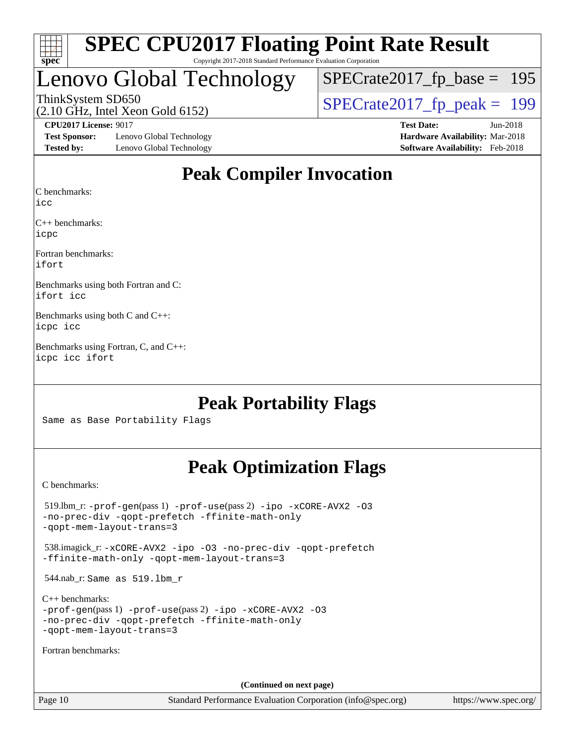

### Lenovo Global Technology

[SPECrate2017\\_fp\\_base =](http://www.spec.org/auto/cpu2017/Docs/result-fields.html#SPECrate2017fpbase) 195

(2.10 GHz, Intel Xeon Gold 6152) ThinkSystem SD650<br>(2.10 GHz, Intel Xeon Gold 6152)  $\begin{array}{r} | \text{SPECrate2017\_fp\_peak} = 199 \end{array}$ 

**[Test Sponsor:](http://www.spec.org/auto/cpu2017/Docs/result-fields.html#TestSponsor)** Lenovo Global Technology **[Hardware Availability:](http://www.spec.org/auto/cpu2017/Docs/result-fields.html#HardwareAvailability)** Mar-2018 **[Tested by:](http://www.spec.org/auto/cpu2017/Docs/result-fields.html#Testedby)** Lenovo Global Technology **[Software Availability:](http://www.spec.org/auto/cpu2017/Docs/result-fields.html#SoftwareAvailability)** Feb-2018

**[CPU2017 License:](http://www.spec.org/auto/cpu2017/Docs/result-fields.html#CPU2017License)** 9017 **[Test Date:](http://www.spec.org/auto/cpu2017/Docs/result-fields.html#TestDate)** Jun-2018

### **[Peak Compiler Invocation](http://www.spec.org/auto/cpu2017/Docs/result-fields.html#PeakCompilerInvocation)**

[C benchmarks](http://www.spec.org/auto/cpu2017/Docs/result-fields.html#Cbenchmarks):

[icc](http://www.spec.org/cpu2017/results/res2018q3/cpu2017-20180625-07351.flags.html#user_CCpeak_intel_icc_18.0_66fc1ee009f7361af1fbd72ca7dcefbb700085f36577c54f309893dd4ec40d12360134090235512931783d35fd58c0460139e722d5067c5574d8eaf2b3e37e92)

[C++ benchmarks:](http://www.spec.org/auto/cpu2017/Docs/result-fields.html#CXXbenchmarks) [icpc](http://www.spec.org/cpu2017/results/res2018q3/cpu2017-20180625-07351.flags.html#user_CXXpeak_intel_icpc_18.0_c510b6838c7f56d33e37e94d029a35b4a7bccf4766a728ee175e80a419847e808290a9b78be685c44ab727ea267ec2f070ec5dc83b407c0218cded6866a35d07)

[Fortran benchmarks](http://www.spec.org/auto/cpu2017/Docs/result-fields.html#Fortranbenchmarks): [ifort](http://www.spec.org/cpu2017/results/res2018q3/cpu2017-20180625-07351.flags.html#user_FCpeak_intel_ifort_18.0_8111460550e3ca792625aed983ce982f94888b8b503583aa7ba2b8303487b4d8a21a13e7191a45c5fd58ff318f48f9492884d4413fa793fd88dd292cad7027ca)

[Benchmarks using both Fortran and C](http://www.spec.org/auto/cpu2017/Docs/result-fields.html#BenchmarksusingbothFortranandC): [ifort](http://www.spec.org/cpu2017/results/res2018q3/cpu2017-20180625-07351.flags.html#user_CC_FCpeak_intel_ifort_18.0_8111460550e3ca792625aed983ce982f94888b8b503583aa7ba2b8303487b4d8a21a13e7191a45c5fd58ff318f48f9492884d4413fa793fd88dd292cad7027ca) [icc](http://www.spec.org/cpu2017/results/res2018q3/cpu2017-20180625-07351.flags.html#user_CC_FCpeak_intel_icc_18.0_66fc1ee009f7361af1fbd72ca7dcefbb700085f36577c54f309893dd4ec40d12360134090235512931783d35fd58c0460139e722d5067c5574d8eaf2b3e37e92)

[Benchmarks using both C and C++:](http://www.spec.org/auto/cpu2017/Docs/result-fields.html#BenchmarksusingbothCandCXX) [icpc](http://www.spec.org/cpu2017/results/res2018q3/cpu2017-20180625-07351.flags.html#user_CC_CXXpeak_intel_icpc_18.0_c510b6838c7f56d33e37e94d029a35b4a7bccf4766a728ee175e80a419847e808290a9b78be685c44ab727ea267ec2f070ec5dc83b407c0218cded6866a35d07) [icc](http://www.spec.org/cpu2017/results/res2018q3/cpu2017-20180625-07351.flags.html#user_CC_CXXpeak_intel_icc_18.0_66fc1ee009f7361af1fbd72ca7dcefbb700085f36577c54f309893dd4ec40d12360134090235512931783d35fd58c0460139e722d5067c5574d8eaf2b3e37e92)

[Benchmarks using Fortran, C, and C++](http://www.spec.org/auto/cpu2017/Docs/result-fields.html#BenchmarksusingFortranCandCXX): [icpc](http://www.spec.org/cpu2017/results/res2018q3/cpu2017-20180625-07351.flags.html#user_CC_CXX_FCpeak_intel_icpc_18.0_c510b6838c7f56d33e37e94d029a35b4a7bccf4766a728ee175e80a419847e808290a9b78be685c44ab727ea267ec2f070ec5dc83b407c0218cded6866a35d07) [icc](http://www.spec.org/cpu2017/results/res2018q3/cpu2017-20180625-07351.flags.html#user_CC_CXX_FCpeak_intel_icc_18.0_66fc1ee009f7361af1fbd72ca7dcefbb700085f36577c54f309893dd4ec40d12360134090235512931783d35fd58c0460139e722d5067c5574d8eaf2b3e37e92) [ifort](http://www.spec.org/cpu2017/results/res2018q3/cpu2017-20180625-07351.flags.html#user_CC_CXX_FCpeak_intel_ifort_18.0_8111460550e3ca792625aed983ce982f94888b8b503583aa7ba2b8303487b4d8a21a13e7191a45c5fd58ff318f48f9492884d4413fa793fd88dd292cad7027ca)

### **[Peak Portability Flags](http://www.spec.org/auto/cpu2017/Docs/result-fields.html#PeakPortabilityFlags)**

Same as Base Portability Flags

### **[Peak Optimization Flags](http://www.spec.org/auto/cpu2017/Docs/result-fields.html#PeakOptimizationFlags)**

[C benchmarks](http://www.spec.org/auto/cpu2017/Docs/result-fields.html#Cbenchmarks):

 519.lbm\_r: [-prof-gen](http://www.spec.org/cpu2017/results/res2018q3/cpu2017-20180625-07351.flags.html#user_peakPASS1_CFLAGSPASS1_LDFLAGS519_lbm_r_prof_gen_5aa4926d6013ddb2a31985c654b3eb18169fc0c6952a63635c234f711e6e63dd76e94ad52365559451ec499a2cdb89e4dc58ba4c67ef54ca681ffbe1461d6b36)(pass 1) [-prof-use](http://www.spec.org/cpu2017/results/res2018q3/cpu2017-20180625-07351.flags.html#user_peakPASS2_CFLAGSPASS2_LDFLAGS519_lbm_r_prof_use_1a21ceae95f36a2b53c25747139a6c16ca95bd9def2a207b4f0849963b97e94f5260e30a0c64f4bb623698870e679ca08317ef8150905d41bd88c6f78df73f19)(pass 2) [-ipo](http://www.spec.org/cpu2017/results/res2018q3/cpu2017-20180625-07351.flags.html#user_peakPASS1_COPTIMIZEPASS2_COPTIMIZE519_lbm_r_f-ipo) [-xCORE-AVX2](http://www.spec.org/cpu2017/results/res2018q3/cpu2017-20180625-07351.flags.html#user_peakPASS2_COPTIMIZE519_lbm_r_f-xCORE-AVX2) [-O3](http://www.spec.org/cpu2017/results/res2018q3/cpu2017-20180625-07351.flags.html#user_peakPASS1_COPTIMIZEPASS2_COPTIMIZE519_lbm_r_f-O3) [-no-prec-div](http://www.spec.org/cpu2017/results/res2018q3/cpu2017-20180625-07351.flags.html#user_peakPASS1_COPTIMIZEPASS2_COPTIMIZE519_lbm_r_f-no-prec-div) [-qopt-prefetch](http://www.spec.org/cpu2017/results/res2018q3/cpu2017-20180625-07351.flags.html#user_peakPASS1_COPTIMIZEPASS2_COPTIMIZE519_lbm_r_f-qopt-prefetch) [-ffinite-math-only](http://www.spec.org/cpu2017/results/res2018q3/cpu2017-20180625-07351.flags.html#user_peakPASS1_COPTIMIZEPASS2_COPTIMIZE519_lbm_r_f_finite_math_only_cb91587bd2077682c4b38af759c288ed7c732db004271a9512da14a4f8007909a5f1427ecbf1a0fb78ff2a814402c6114ac565ca162485bbcae155b5e4258871) [-qopt-mem-layout-trans=3](http://www.spec.org/cpu2017/results/res2018q3/cpu2017-20180625-07351.flags.html#user_peakPASS1_COPTIMIZEPASS2_COPTIMIZE519_lbm_r_f-qopt-mem-layout-trans_de80db37974c74b1f0e20d883f0b675c88c3b01e9d123adea9b28688d64333345fb62bc4a798493513fdb68f60282f9a726aa07f478b2f7113531aecce732043) 538.imagick\_r: [-xCORE-AVX2](http://www.spec.org/cpu2017/results/res2018q3/cpu2017-20180625-07351.flags.html#user_peakCOPTIMIZE538_imagick_r_f-xCORE-AVX2) [-ipo](http://www.spec.org/cpu2017/results/res2018q3/cpu2017-20180625-07351.flags.html#user_peakCOPTIMIZE538_imagick_r_f-ipo) [-O3](http://www.spec.org/cpu2017/results/res2018q3/cpu2017-20180625-07351.flags.html#user_peakCOPTIMIZE538_imagick_r_f-O3) [-no-prec-div](http://www.spec.org/cpu2017/results/res2018q3/cpu2017-20180625-07351.flags.html#user_peakCOPTIMIZE538_imagick_r_f-no-prec-div) [-qopt-prefetch](http://www.spec.org/cpu2017/results/res2018q3/cpu2017-20180625-07351.flags.html#user_peakCOPTIMIZE538_imagick_r_f-qopt-prefetch) [-ffinite-math-only](http://www.spec.org/cpu2017/results/res2018q3/cpu2017-20180625-07351.flags.html#user_peakCOPTIMIZE538_imagick_r_f_finite_math_only_cb91587bd2077682c4b38af759c288ed7c732db004271a9512da14a4f8007909a5f1427ecbf1a0fb78ff2a814402c6114ac565ca162485bbcae155b5e4258871) [-qopt-mem-layout-trans=3](http://www.spec.org/cpu2017/results/res2018q3/cpu2017-20180625-07351.flags.html#user_peakCOPTIMIZE538_imagick_r_f-qopt-mem-layout-trans_de80db37974c74b1f0e20d883f0b675c88c3b01e9d123adea9b28688d64333345fb62bc4a798493513fdb68f60282f9a726aa07f478b2f7113531aecce732043) 544.nab\_r: Same as 519.lbm\_r [C++ benchmarks:](http://www.spec.org/auto/cpu2017/Docs/result-fields.html#CXXbenchmarks) [-prof-gen](http://www.spec.org/cpu2017/results/res2018q3/cpu2017-20180625-07351.flags.html#user_CXXpeak_prof_gen_5aa4926d6013ddb2a31985c654b3eb18169fc0c6952a63635c234f711e6e63dd76e94ad52365559451ec499a2cdb89e4dc58ba4c67ef54ca681ffbe1461d6b36)(pass 1) [-prof-use](http://www.spec.org/cpu2017/results/res2018q3/cpu2017-20180625-07351.flags.html#user_CXXpeak_prof_use_1a21ceae95f36a2b53c25747139a6c16ca95bd9def2a207b4f0849963b97e94f5260e30a0c64f4bb623698870e679ca08317ef8150905d41bd88c6f78df73f19)(pass 2) [-ipo](http://www.spec.org/cpu2017/results/res2018q3/cpu2017-20180625-07351.flags.html#user_CXXpeak_f-ipo) [-xCORE-AVX2](http://www.spec.org/cpu2017/results/res2018q3/cpu2017-20180625-07351.flags.html#user_CXXpeak_f-xCORE-AVX2) [-O3](http://www.spec.org/cpu2017/results/res2018q3/cpu2017-20180625-07351.flags.html#user_CXXpeak_f-O3) [-no-prec-div](http://www.spec.org/cpu2017/results/res2018q3/cpu2017-20180625-07351.flags.html#user_CXXpeak_f-no-prec-div) [-qopt-prefetch](http://www.spec.org/cpu2017/results/res2018q3/cpu2017-20180625-07351.flags.html#user_CXXpeak_f-qopt-prefetch) [-ffinite-math-only](http://www.spec.org/cpu2017/results/res2018q3/cpu2017-20180625-07351.flags.html#user_CXXpeak_f_finite_math_only_cb91587bd2077682c4b38af759c288ed7c732db004271a9512da14a4f8007909a5f1427ecbf1a0fb78ff2a814402c6114ac565ca162485bbcae155b5e4258871) [-qopt-mem-layout-trans=3](http://www.spec.org/cpu2017/results/res2018q3/cpu2017-20180625-07351.flags.html#user_CXXpeak_f-qopt-mem-layout-trans_de80db37974c74b1f0e20d883f0b675c88c3b01e9d123adea9b28688d64333345fb62bc4a798493513fdb68f60282f9a726aa07f478b2f7113531aecce732043) [Fortran benchmarks](http://www.spec.org/auto/cpu2017/Docs/result-fields.html#Fortranbenchmarks): **(Continued on next page)**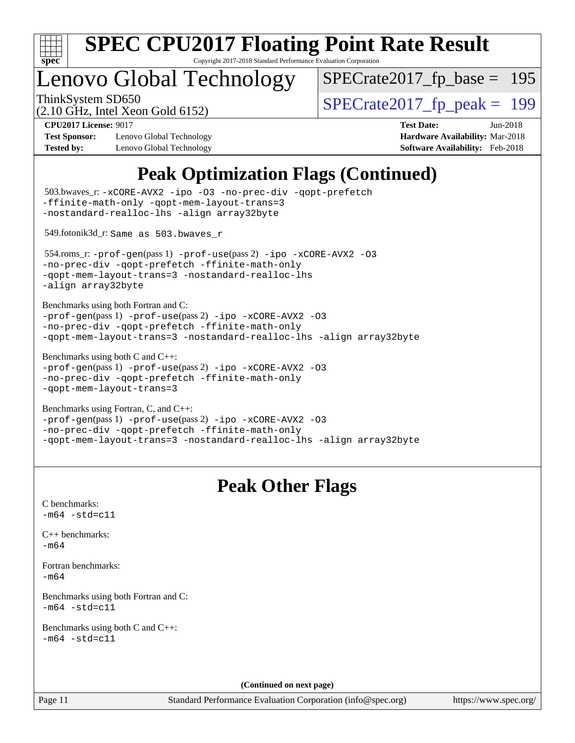

Copyright 2017-2018 Standard Performance Evaluation Corporation

### enovo Global Technology

ThinkSystem SD650<br>  $\langle 2.10 \text{ GHz}$  Intel Yean Gold 6152) [SPECrate2017\\_fp\\_base =](http://www.spec.org/auto/cpu2017/Docs/result-fields.html#SPECrate2017fpbase) 195

(2.10 GHz, Intel Xeon Gold 6152)

**[Test Sponsor:](http://www.spec.org/auto/cpu2017/Docs/result-fields.html#TestSponsor)** Lenovo Global Technology **[Hardware Availability:](http://www.spec.org/auto/cpu2017/Docs/result-fields.html#HardwareAvailability)** Mar-2018 **[Tested by:](http://www.spec.org/auto/cpu2017/Docs/result-fields.html#Testedby)** Lenovo Global Technology **[Software Availability:](http://www.spec.org/auto/cpu2017/Docs/result-fields.html#SoftwareAvailability)** Feb-2018

**[CPU2017 License:](http://www.spec.org/auto/cpu2017/Docs/result-fields.html#CPU2017License)** 9017 **[Test Date:](http://www.spec.org/auto/cpu2017/Docs/result-fields.html#TestDate)** Jun-2018

### **[Peak Optimization Flags \(Continued\)](http://www.spec.org/auto/cpu2017/Docs/result-fields.html#PeakOptimizationFlags)**

```
(info@spec.org)https://www.spec.org/
  503.bwaves_r: -xCORE-AVX2 -ipo -O3 -no-prec-div -qopt-prefetch
-ffinite-math-only -qopt-mem-layout-trans=3
-nostandard-realloc-lhs -align array32byte
  549.fotonik3d_r: Same as 503.bwaves_r
  554.roms_r: -prof-gen(pass 1) -prof-use(pass 2) -ipo -xCORE-AVX2 -O3
-no-prec-div -qopt-prefetch -ffinite-math-only
-qopt-mem-layout-trans=3 -nostandard-realloc-lhs
-align array32byte
Benchmarks using both Fortran and C: 
-prof-gen(pass 1) -prof-use(pass 2) -ipo -xCORE-AVX2 -O3
-no-prec-div -qopt-prefetch -ffinite-math-only
-qopt-mem-layout-trans=3 -nostandard-realloc-lhs -align array32byte
Benchmarks using both C and C++: 
-prof-gen(pass 1) -prof-use(pass 2) -ipo -xCORE-AVX2 -O3
-no-prec-div -qopt-prefetch -ffinite-math-only
-qopt-mem-layout-trans=3
Benchmarks using Fortran, C, and C++: 
-prof-gen(pass 1) -prof-use(pass 2) -ipo -xCORE-AVX2 -O3
-no-prec-div -qopt-prefetch -ffinite-math-only
-qopt-mem-layout-trans=3 -nostandard-realloc-lhs -align array32byte
                                 Peak Other Flags
C benchmarks: 
-m64 - std= c11C++ benchmarks: 
-m64Fortran benchmarks: 
-m64
Benchmarks using both Fortran and C: 
-m64 - std= c11Benchmarks using both C and C++: 
-m64 - std= c11(Continued on next page)
```